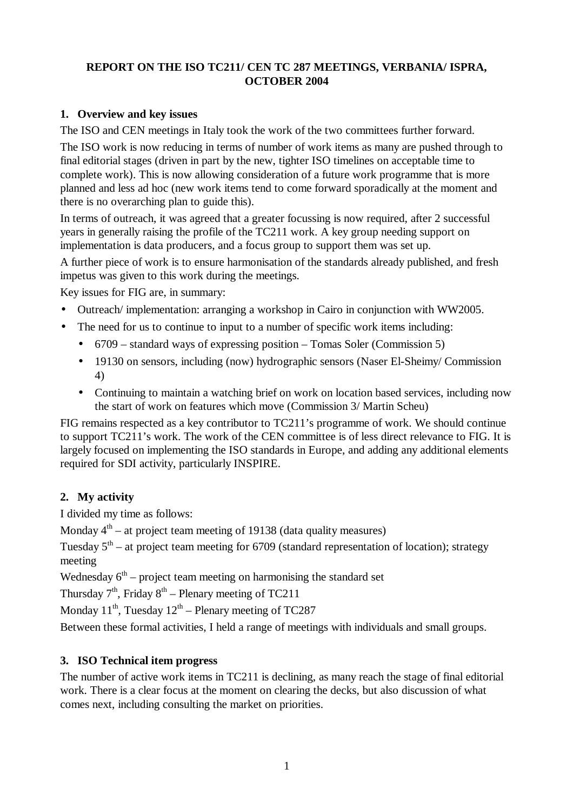# **REPORT ON THE ISO TC211/ CEN TC 287 MEETINGS, VERBANIA/ ISPRA, OCTOBER 2004**

#### **1. Overview and key issues**

The ISO and CEN meetings in Italy took the work of the two committees further forward.

The ISO work is now reducing in terms of number of work items as many are pushed through to final editorial stages (driven in part by the new, tighter ISO timelines on acceptable time to complete work). This is now allowing consideration of a future work programme that is more planned and less ad hoc (new work items tend to come forward sporadically at the moment and there is no overarching plan to guide this).

In terms of outreach, it was agreed that a greater focussing is now required, after 2 successful years in generally raising the profile of the TC211 work. A key group needing support on implementation is data producers, and a focus group to support them was set up.

A further piece of work is to ensure harmonisation of the standards already published, and fresh impetus was given to this work during the meetings.

Key issues for FIG are, in summary:

- Outreach/ implementation: arranging a workshop in Cairo in conjunction with WW2005.
- The need for us to continue to input to a number of specific work items including:
	- 6709 standard ways of expressing position Tomas Soler (Commission 5)
	- 19130 on sensors, including (now) hydrographic sensors (Naser El-Sheimy/ Commission 4)
	- Continuing to maintain a watching brief on work on location based services, including now the start of work on features which move (Commission 3/ Martin Scheu)

FIG remains respected as a key contributor to TC211's programme of work. We should continue to support TC211's work. The work of the CEN committee is of less direct relevance to FIG. It is largely focused on implementing the ISO standards in Europe, and adding any additional elements required for SDI activity, particularly INSPIRE.

# **2. My activity**

I divided my time as follows:

Monday  $4<sup>th</sup>$  – at project team meeting of 19138 (data quality measures)

Tuesday  $5<sup>th</sup>$  – at project team meeting for 6709 (standard representation of location); strategy meeting

Wednesday  $6<sup>th</sup>$  – project team meeting on harmonising the standard set

Thursday  $7<sup>th</sup>$ , Friday  $8<sup>th</sup>$  – Plenary meeting of TC211

Monday  $11^{th}$ , Tuesday  $12^{th}$  – Plenary meeting of TC287

Between these formal activities, I held a range of meetings with individuals and small groups.

# **3. ISO Technical item progress**

The number of active work items in TC211 is declining, as many reach the stage of final editorial work. There is a clear focus at the moment on clearing the decks, but also discussion of what comes next, including consulting the market on priorities.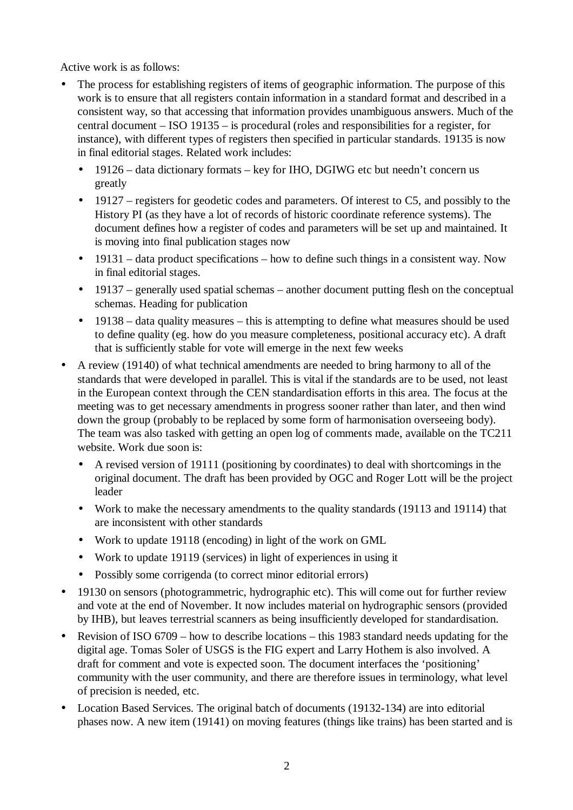Active work is as follows:

- The process for establishing registers of items of geographic information. The purpose of this work is to ensure that all registers contain information in a standard format and described in a consistent way, so that accessing that information provides unambiguous answers. Much of the central document – ISO 19135 – is procedural (roles and responsibilities for a register, for instance), with different types of registers then specified in particular standards. 19135 is now in final editorial stages. Related work includes:
	- 19126 data dictionary formats key for IHO, DGIWG etc but needn't concern us greatly
	- 19127 registers for geodetic codes and parameters. Of interest to C5, and possibly to the History PI (as they have a lot of records of historic coordinate reference systems). The document defines how a register of codes and parameters will be set up and maintained. It is moving into final publication stages now
	- 19131 data product specifications how to define such things in a consistent way. Now in final editorial stages.
	- 19137 generally used spatial schemas another document putting flesh on the conceptual schemas. Heading for publication
	- 19138 data quality measures this is attempting to define what measures should be used to define quality (eg. how do you measure completeness, positional accuracy etc). A draft that is sufficiently stable for vote will emerge in the next few weeks
- A review (19140) of what technical amendments are needed to bring harmony to all of the standards that were developed in parallel. This is vital if the standards are to be used, not least in the European context through the CEN standardisation efforts in this area. The focus at the meeting was to get necessary amendments in progress sooner rather than later, and then wind down the group (probably to be replaced by some form of harmonisation overseeing body). The team was also tasked with getting an open log of comments made, available on the TC211 website. Work due soon is:
	- A revised version of 19111 (positioning by coordinates) to deal with shortcomings in the original document. The draft has been provided by OGC and Roger Lott will be the project leader
	- Work to make the necessary amendments to the quality standards (19113 and 19114) that are inconsistent with other standards
	- Work to update 19118 (encoding) in light of the work on GML
	- Work to update 19119 (services) in light of experiences in using it
	- Possibly some corrigenda (to correct minor editorial errors)
- 19130 on sensors (photogrammetric, hydrographic etc). This will come out for further review and vote at the end of November. It now includes material on hydrographic sensors (provided by IHB), but leaves terrestrial scanners as being insufficiently developed for standardisation.
- Revision of ISO 6709 how to describe locations this 1983 standard needs updating for the digital age. Tomas Soler of USGS is the FIG expert and Larry Hothem is also involved. A draft for comment and vote is expected soon. The document interfaces the 'positioning' community with the user community, and there are therefore issues in terminology, what level of precision is needed, etc.
- Location Based Services. The original batch of documents (19132-134) are into editorial phases now. A new item (19141) on moving features (things like trains) has been started and is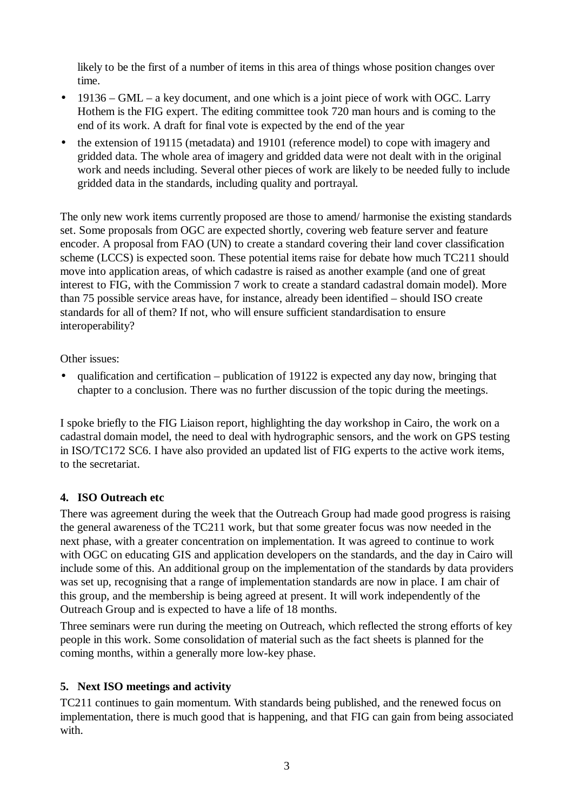likely to be the first of a number of items in this area of things whose position changes over time.

- 19136 GML a key document, and one which is a joint piece of work with OGC. Larry Hothem is the FIG expert. The editing committee took 720 man hours and is coming to the end of its work. A draft for final vote is expected by the end of the year
- the extension of 19115 (metadata) and 19101 (reference model) to cope with imagery and gridded data. The whole area of imagery and gridded data were not dealt with in the original work and needs including. Several other pieces of work are likely to be needed fully to include gridded data in the standards, including quality and portrayal.

The only new work items currently proposed are those to amend/ harmonise the existing standards set. Some proposals from OGC are expected shortly, covering web feature server and feature encoder. A proposal from FAO (UN) to create a standard covering their land cover classification scheme (LCCS) is expected soon. These potential items raise for debate how much TC211 should move into application areas, of which cadastre is raised as another example (and one of great interest to FIG, with the Commission 7 work to create a standard cadastral domain model). More than 75 possible service areas have, for instance, already been identified – should ISO create standards for all of them? If not, who will ensure sufficient standardisation to ensure interoperability?

Other issues:

• qualification and certification – publication of 19122 is expected any day now, bringing that chapter to a conclusion. There was no further discussion of the topic during the meetings.

I spoke briefly to the FIG Liaison report, highlighting the day workshop in Cairo, the work on a cadastral domain model, the need to deal with hydrographic sensors, and the work on GPS testing in ISO/TC172 SC6. I have also provided an updated list of FIG experts to the active work items, to the secretariat.

#### **4. ISO Outreach etc**

There was agreement during the week that the Outreach Group had made good progress is raising the general awareness of the TC211 work, but that some greater focus was now needed in the next phase, with a greater concentration on implementation. It was agreed to continue to work with OGC on educating GIS and application developers on the standards, and the day in Cairo will include some of this. An additional group on the implementation of the standards by data providers was set up, recognising that a range of implementation standards are now in place. I am chair of this group, and the membership is being agreed at present. It will work independently of the Outreach Group and is expected to have a life of 18 months.

Three seminars were run during the meeting on Outreach, which reflected the strong efforts of key people in this work. Some consolidation of material such as the fact sheets is planned for the coming months, within a generally more low-key phase.

# **5. Next ISO meetings and activity**

TC211 continues to gain momentum. With standards being published, and the renewed focus on implementation, there is much good that is happening, and that FIG can gain from being associated with.